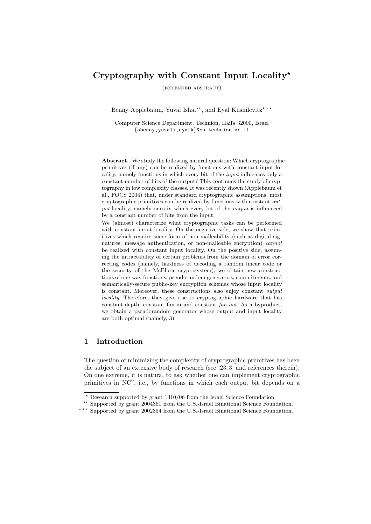# Cryptography with Constant Input Locality?

(extended abstract)

Benny Applebaum, Yuval Ishai<sup>\*\*</sup>, and Eyal Kushilevitz<sup>\*\*\*</sup>

Computer Science Department, Technion, Haifa 32000, Israel {abenny,yuvali,eyalk}@cs.technion.ac.il

Abstract. We study the following natural question: Which cryptographic primitives (if any) can be realized by functions with constant input locality, namely functions in which every bit of the input influences only a constant number of bits of the output? This continues the study of cryptography in low complexity classes. It was recently shown (Applebaum et al., FOCS 2004) that, under standard cryptographic assumptions, most cryptographic primitives can be realized by functions with constant output locality, namely ones in which every bit of the output is influenced by a constant number of bits from the input.

We (almost) characterize what cryptographic tasks can be performed with constant input locality. On the negative side, we show that primitives which require some form of non-malleability (such as digital signatures, message authentication, or non-malleable encryption) cannot be realized with constant input locality. On the positive side, assuming the intractability of certain problems from the domain of error correcting codes (namely, hardness of decoding a random linear code or the security of the McEliece cryptosystem), we obtain new constructions of one-way functions, pseudorandom generators, commitments, and semantically-secure public-key encryption schemes whose input locality is constant. Moreover, these constructions also enjoy constant output locality. Therefore, they give rise to cryptographic hardware that has constant-depth, constant fan-in and constant fan-out. As a byproduct, we obtain a pseudorandom generator whose output and input locality are both optimal (namely, 3).

## 1 Introduction

The question of minimizing the complexity of cryptographic primitives has been the subject of an extensive body of research (see [23, 3] and references therein). On one extreme, it is natural to ask whether one can implement cryptographic primitives in  $NC^0$ , i.e., by functions in which each output bit depends on a

<sup>?</sup> Research supported by grant 1310/06 from the Israel Science Foundation.

<sup>\*\*</sup> Supported by grant 2004361 from the U.S.-Israel Binational Science Foundation.

<sup>\*\*\*</sup> Supported by grant 2002354 from the U.S.-Israel Binational Science Foundation.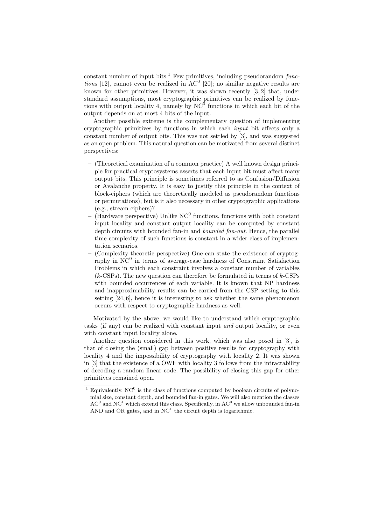constant number of input bits.<sup>1</sup> Few primitives, including pseudorandom functions [12], cannot even be realized in  $AC^0$  [20]; no similar negative results are known for other primitives. However, it was shown recently [3, 2] that, under standard assumptions, most cryptographic primitives can be realized by functions with output locality 4, namely by  $NC^{\overline{0}}$  functions in which each bit of the output depends on at most 4 bits of the input.

Another possible extreme is the complementary question of implementing cryptographic primitives by functions in which each input bit affects only a constant number of output bits. This was not settled by [3], and was suggested as an open problem. This natural question can be motivated from several distinct perspectives:

- (Theoretical examination of a common practice) A well known design principle for practical cryptosystems asserts that each input bit must affect many output bits. This principle is sometimes referred to as Confusion/Diffusion or Avalanche property. It is easy to justify this principle in the context of block-ciphers (which are theoretically modeled as pseudorandom functions or permutations), but is it also necessary in other cryptographic applications (e.g., stream ciphers)?
- $-$  (Hardware perspective) Unlike  $NC<sup>0</sup>$  functions, functions with both constant input locality and constant output locality can be computed by constant depth circuits with bounded fan-in and *bounded fan-out*. Hence, the parallel time complexity of such functions is constant in a wider class of implementation scenarios.
- (Complexity theoretic perspective) One can state the existence of cryptography in  $NC<sup>0</sup>$  in terms of average-case hardness of Constraint Satisfaction Problems in which each constraint involves a constant number of variables  $(k\text{-CSPs})$ . The new question can therefore be formulated in terms of  $k\text{-CSPs}$ with bounded occurrences of each variable. It is known that NP hardness and inapproximability results can be carried from the CSP setting to this setting [24, 6], hence it is interesting to ask whether the same phenomenon occurs with respect to cryptographic hardness as well.

Motivated by the above, we would like to understand which cryptographic tasks (if any) can be realized with constant input and output locality, or even with constant input locality alone.

Another question considered in this work, which was also posed in [3], is that of closing the (small) gap between positive results for cryptography with locality 4 and the impossibility of cryptography with locality 2. It was shown in [3] that the existence of a OWF with locality 3 follows from the intractability of decoding a random linear code. The possibility of closing this gap for other primitives remained open.

<sup>&</sup>lt;sup>1</sup> Equivalently,  $NC^0$  is the class of functions computed by boolean circuits of polynomial size, constant depth, and bounded fan-in gates. We will also mention the classes  $AC^{0}$  and  $NC^{1}$  which extend this class. Specifically, in  $AC^{0}$  we allow unbounded fan-in AND and OR gates, and in  $NC<sup>1</sup>$  the circuit depth is logarithmic.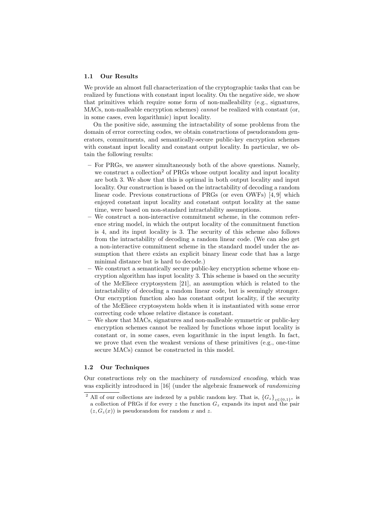#### 1.1 Our Results

We provide an almost full characterization of the cryptographic tasks that can be realized by functions with constant input locality. On the negative side, we show that primitives which require some form of non-malleability (e.g., signatures, MACs, non-malleable encryption schemes) cannot be realized with constant (or, in some cases, even logarithmic) input locality.

On the positive side, assuming the intractability of some problems from the domain of error correcting codes, we obtain constructions of pseudorandom generators, commitments, and semantically-secure public-key encryption schemes with constant input locality and constant output locality. In particular, we obtain the following results:

- For PRGs, we answer simultaneously both of the above questions. Namely, we construct a collection<sup>2</sup> of PRGs whose output locality and input locality are both 3. We show that this is optimal in both output locality and input locality. Our construction is based on the intractability of decoding a random linear code. Previous constructions of PRGs (or even OWFs) [4, 9] which enjoyed constant input locality and constant output locality at the same time, were based on non-standard intractability assumptions.
- We construct a non-interactive commitment scheme, in the common reference string model, in which the output locality of the commitment function is 4, and its input locality is 3. The security of this scheme also follows from the intractability of decoding a random linear code. (We can also get a non-interactive commitment scheme in the standard model under the assumption that there exists an explicit binary linear code that has a large minimal distance but is hard to decode.)
- We construct a semantically secure public-key encryption scheme whose encryption algorithm has input locality 3. This scheme is based on the security of the McEliece cryptosystem [21], an assumption which is related to the intractability of decoding a random linear code, but is seemingly stronger. Our encryption function also has constant output locality, if the security of the McEliece cryptosystem holds when it is instantiated with some error correcting code whose relative distance is constant.
- We show that MACs, signatures and non-malleable symmetric or public-key encryption schemes cannot be realized by functions whose input locality is constant or, in some cases, even logarithmic in the input length. In fact, we prove that even the weakest versions of these primitives (e.g., one-time secure MACs) cannot be constructed in this model.

### 1.2 Our Techniques

Our constructions rely on the machinery of randomized encoding, which was was explicitly introduced in [16] (under the algebraic framework of *randomizing* 

<sup>&</sup>lt;sup>2</sup> All of our collections are indexed by a public random key. That is,  ${G_z}_{z \in \{0,1\}^*}$  is a collection of PRGs if for every  $z$  the function  $G_z$  expands its input and the pair  $(z, G_z(x))$  is pseudorandom for random x and z.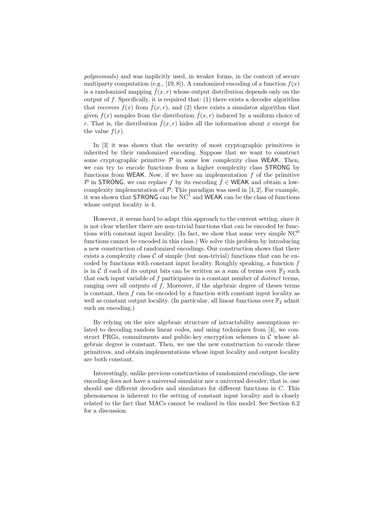polynomials) and was implicitly used, in weaker forms, in the context of secure multiparty computation (e.g., [19, 8]). A randomized encoding of a function  $f(x)$ is a randomized mapping  $\hat{f}(x, r)$  whose output distribution depends only on the output of  $f$ . Specifically, it is required that:  $(1)$  there exists a decoder algorithm that recovers  $f(x)$  from  $\hat{f}(x, r)$ , and (2) there exists a simulator algorithm that given  $f(x)$  samples from the distribution  $\hat{f}(x, r)$  induced by a uniform choice of r. That is, the distribution  $\hat{f}(x, r)$  hides all the information about x except for the value  $f(x)$ .

In [3] it was shown that the security of most cryptographic primitives is inherited by their randomized encoding. Suppose that we want to construct some cryptographic primitive  $P$  in some low complexity class WEAK. Then, we can try to encode functions from a higher complexity class STRONG by functions from WEAK. Now, if we have an implementation  $f$  of the primitive P in STRONG, we can replace f by its encoding  $\hat{f} \in \mathsf{WEAK}$  and obtain a lowcomplexity implementation of  $\overline{P}$ . This paradigm was used in [3, 2]. For example, it was shown that **STRONG** can be  $NC<sup>1</sup>$  and **WEAK** can be the class of functions whose output locality is 4.

However, it seems hard to adapt this approach to the current setting, since it is not clear whether there are non-trivial functions that can be encoded by functions with constant input locality. (In fact, we show that some very simple  $NC^0$ functions cannot be encoded in this class.) We solve this problem by introducing a new construction of randomized encodings. Our construction shows that there exists a complexity class  $\mathcal C$  of simple (but non-trivial) functions that can be encoded by functions with constant input locality. Roughly speaking, a function f is in C if each of its output bits can be written as a sum of terms over  $\mathbb{F}_2$  such that each input variable of  $f$  participates in a constant number of  $distinct$  terms, ranging over all outputs of  $f$ . Moreover, if the algebraic degree of theses terms is constant, then  $f$  can be encoded by a function with constant input locality as well as constant output locality. (In particular, all linear functions over  $\mathbb{F}_2$  admit such an encoding.)

By relying on the nice algebraic structure of intractability assumptions related to decoding random linear codes, and using techniques from [4], we construct PRGs, commitments and public-key encryption schemes in  $\mathcal C$  whose algebraic degree is constant. Then, we use the new construction to encode these primitives, and obtain implementations whose input locality and output locality are both constant.

Interestingly, unlike previous constructions of randomized encodings, the new encoding does not have a universal simulator nor a universal decoder; that is, one should use different decoders and simulators for different functions in C. This phenomenon is inherent to the setting of constant input locality and is closely related to the fact that MACs cannot be realized in this model. See Section 6.2 for a discussion.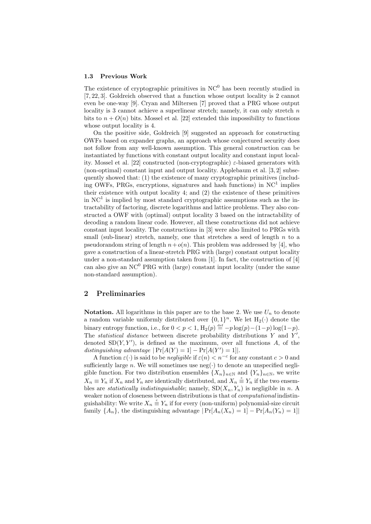#### 1.3 Previous Work

The existence of cryptographic primitives in  $NC<sup>0</sup>$  has been recently studied in [7, 22, 3]. Goldreich observed that a function whose output locality is 2 cannot even be one-way [9]. Cryan and Miltersen [7] proved that a PRG whose output locality is 3 cannot achieve a superlinear stretch; namely, it can only stretch  $n$ bits to  $n + O(n)$  bits. Mossel et al. [22] extended this impossibility to functions whose output locality is 4.

On the positive side, Goldreich [9] suggested an approach for constructing OWFs based on expander graphs, an approach whose conjectured security does not follow from any well-known assumption. This general construction can be instantiated by functions with constant output locality and constant input locality. Mossel et al. [22] constructed (non-cryptographic) ε-biased generators with (non-optimal) constant input and output locality. Applebaum et al. [3, 2] subsequently showed that: (1) the existence of many cryptographic primitives (including OWFs, PRGs, encryptions, signatures and hash functions) in  $NC<sup>1</sup>$  implies their existence with output locality 4; and (2) the existence of these primitives in  $NC<sup>1</sup>$  is implied by most standard cryptographic assumptions such as the intractability of factoring, discrete logarithms and lattice problems. They also constructed a OWF with (optimal) output locality 3 based on the intractability of decoding a random linear code. However, all these constructions did not achieve constant input locality. The constructions in [3] were also limited to PRGs with small (sub-linear) stretch, namely, one that stretches a seed of length  $n$  to a pseudorandom string of length  $n+o(n)$ . This problem was addressed by [4], who gave a construction of a linear-stretch PRG with (large) constant output locality under a non-standard assumption taken from [1]. In fact, the construction of [4] can also give an  $NC^0$  PRG with (large) constant input locality (under the same non-standard assumption).

## 2 Preliminaries

**Notation.** All logarithms in this paper are to the base 2. We use  $U_n$  to denote a random variable uniformly distributed over  $\{0, 1\}^n$ . We let  $H_2(\cdot)$  denote the binary entropy function, i.e., for  $0 < p < 1$ ,  $H_2(p) \stackrel{\text{def}}{=} -p \log(p) - (1-p) \log(1-p)$ . The *statistical distance* between discrete probability distributions  $Y$  and  $Y'$ , denoted  $SD(Y, Y')$ , is defined as the maximum, over all functions A, of the distinguishing advantage  $|\Pr[A(Y) = 1] - \Pr[A(Y') = 1]|$ .

A function  $\varepsilon(\cdot)$  is said to be *negligible* if  $\varepsilon(n) < n^{-c}$  for any constant  $c > 0$  and sufficiently large n. We will sometimes use  $neg(\cdot)$  to denote an unspecified negligible function. For two distribution ensembles  $\{X_n\}_{n\in\mathbb{N}}$  and  $\{Y_n\}_{n\in\mathbb{N}}$ , we write  $X_n \equiv Y_n$  if  $X_n$  and  $Y_n$  are identically distributed, and  $X_n \stackrel{\text{s}}{=} Y_n$  if the two ensembles are *statistically indistinguishable*; namely,  $SD(X_n, Y_n)$  is negligible in n. A weaker notion of closeness between distributions is that of computational indistinguishability: We write  $X_n \stackrel{c}{\equiv} Y_n$  if for every (non-uniform) polynomial-size circuit family  $\{A_n\}$ , the distinguishing advantage  $|\Pr(A_n(X_n) = 1] - \Pr[A_n(Y_n) = 1]|$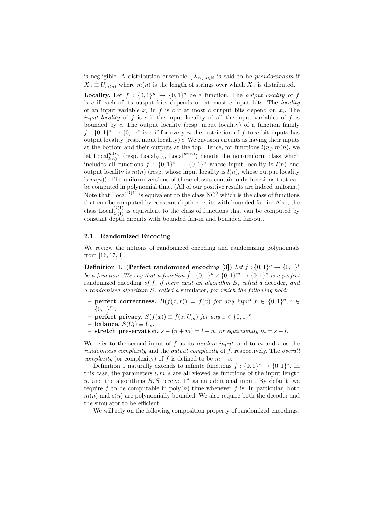is negligible. A distribution ensemble  $\{X_n\}_{n\in\mathbb{N}}$  is said to be *pseudorandom* if  $X_n \stackrel{\text{c}}{=} U_{m(n)}$  where  $m(n)$  is the length of strings over which  $X_n$  is distributed.

**Locality.** Let  $f : \{0,1\}^n \rightarrow \{0,1\}^s$  be a function. The *output locality* of f is c if each of its output bits depends on at most c input bits. The *locality* of an input variable  $x_i$  in f is c if at most c output bits depend on  $x_i$ . The input locality of  $f$  is  $c$  if the input locality of all the input variables of  $f$  is bounded by  $c$ . The output locality (resp. input locality) of a function family  $f: \{0,1\}^* \to \{0,1\}^*$  is c if for every n the restriction of f to n-bit inputs has output locality (resp. input locality)  $c$ . We envision circuits as having their inputs at the bottom and their outputs at the top. Hence, for functions  $l(n)$ ,  $m(n)$ , we let Local $\binom{m(n)}{l(n)}$  (resp. Local $l(n)$ ), Local $\binom{m(n)}{l(n)}$  denote the non-uniform class which includes all functions  $f: \{0,1\}^* \to \{0,1\}^*$  whose input locality is  $l(n)$  and output locality is  $m(n)$  (resp. whose input locality is  $l(n)$ , whose output locality is  $m(n)$ ). The uniform versions of these classes contain only functions that can be computed in polynomial time. (All of our positive results are indeed uniform.) Note that  $Local^{O(1)}$  is equivalent to the class NC<sup>0</sup> which is the class of functions that can be computed by constant depth circuits with bounded fan-in. Also, the class Local $O(1)$  is equivalent to the class of functions that can be computed by constant depth circuits with bounded fan-in and bounded fan-out.

### 2.1 Randomized Encoding

We review the notions of randomized encoding and randomizing polynomials from [16, 17, 3].

Definition 1. (Perfect randomized encoding [3]) Let  $f: \{0,1\}^n \rightarrow \{0,1\}^l$ be a function. We say that a function  $\hat{f}: \{0,1\}^n \times \{0,1\}^m \rightarrow \{0,1\}^s$  is a perfect randomized encoding of  $f$ , if there exist an algorithm  $B$ , called a decoder, and a randomized algorithm S, called a simulator, for which the following hold:

- perfect correctness.  $B(\hat{f}(x,r)) = f(x)$  for any input  $x \in \{0,1\}^n, r \in$  ${0,1}^m$ .
- $-$  perfect privacy.  $S(f(x)) \equiv \hat{f}(x, U_m)$  for any  $x \in \{0, 1\}^n$ .
- balance.  $S(U_l) \equiv U_s$ .
- stretch preservation.  $s (n + m) = l n$ , or equivalently  $m = s l$ .

We refer to the second input of  $\hat{f}$  as its *random input*, and to m and s as the randomness complexity and the output complexity of  $\hat{f}$ , respectively. The overall *complexity* (or complexity) of  $\hat{f}$  is defined to be  $m + s$ .

Definition 1 naturally extends to infinite functions  $f: \{0,1\}^* \to \{0,1\}^*$ . In this case, the parameters  $l, m, s$  are all viewed as functions of the input length n, and the algorithms  $B, S$  receive  $1<sup>n</sup>$  as an additional input. By default, we require f to be computable in  $poly(n)$  time whenever f is. In particular, both  $m(n)$  and  $s(n)$  are polynomially bounded. We also require both the decoder and the simulator to be efficient.

We will rely on the following composition property of randomized encodings.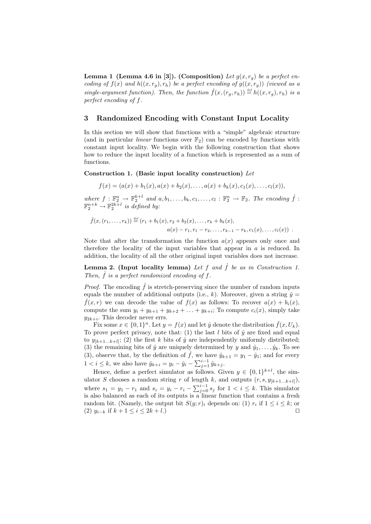Lemma 1 (Lemma 4.6 in [3]). (Composition) Let  $g(x, r_q)$  be a perfect encoding of  $f(x)$  and  $h((x, r_g), r_h)$  be a perfect encoding of  $g((x, r_g))$  (viewed as a single-argument function). Then, the function  $\hat{f}(x,(r_a,r_h)) \stackrel{\text{def}}{=} h((x,r_a),r_h)$  is a perfect encoding of f.

## 3 Randomized Encoding with Constant Input Locality

In this section we will show that functions with a "simple" algebraic structure (and in particular *linear* functions over  $\mathbb{F}_2$ ) can be encoded by functions with constant input locality. We begin with the following construction that shows how to reduce the input locality of a function which is represented as a sum of functions.

Construction 1. (Basic input locality construction) Let

$$
f(x) = (a(x) + b_1(x), a(x) + b_2(x), \dots, a(x) + b_k(x), c_1(x), \dots, c_l(x)),
$$

where  $f: \mathbb{F}_2^n \to \mathbb{F}_2^{k+l}$  and  $a, b_1, \ldots, b_k, c_1, \ldots, c_l : \mathbb{F}_2^n \to \mathbb{F}_2$ . The encoding  $\hat{f}$ :  $\mathbb{F}_2^{n+k} \to \mathbb{F}_2^{2k+l}$  is defined by:

$$
\hat{f}(x,(r_1,\ldots,r_k)) \stackrel{\text{def}}{=} (r_1+b_1(x),r_2+b_2(x),\ldots,r_k+b_k(x),a(x)-r_1,r_1-r_2,\ldots,r_{k-1}-r_k,c_1(x),\ldots,c_l(x)) .
$$

Note that after the transformation the function  $a(x)$  appears only once and therefore the locality of the input variables that appear in  $a$  is reduced. In addition, the locality of all the other original input variables does not increase.

**Lemma 2.** (Input locality lemma) Let f and  $\hat{f}$  be as in Construction 1. Then,  $\hat{f}$  is a perfect randomized encoding of f.

*Proof.* The encoding  $\hat{f}$  is stretch-preserving since the number of random inputs equals the number of additional outputs (i.e., k). Moreover, given a string  $\hat{y} =$  $\hat{f}(x,r)$  we can decode the value of  $f(x)$  as follows: To recover  $a(x) + b_i(x)$ , compute the sum  $y_i + y_{k+1} + y_{k+2} + \ldots + y_{k+i}$ ; To compute  $c_i(x)$ , simply take  $y_{2k+i}$ . This decoder never errs.

Fix some  $x \in \{0,1\}^n$ . Let  $y = f(x)$  and let  $\hat{y}$  denote the distribution  $\hat{f}(x, U_k)$ . To prove perfect privacy, note that: (1) the last l bits of  $\hat{y}$  are fixed and equal to  $y_{[k+1...k+l]}$ ; (2) the first k bits of  $\hat{y}$  are independently uniformly distributed; (3) the remaining bits of  $\hat{y}$  are uniquely determined by y and  $\hat{y}_1, \ldots, \hat{y}_k$ . To see (3), observe that, by the definition of  $\hat{f}$ , we have  $\hat{y}_{k+1} = y_1 - \hat{y}_1$ ; and for every (3), observe that, by the definition of j, we have  $y_k$ <br> $1 < i \leq k$ , we also have  $\hat{y}_{k+i} = y_i - \hat{y}_i - \sum_{j=1}^{i-1} \hat{y}_{k+j}$ .

Hence, define a perfect simulator as follows. Given  $y \in \{0,1\}^{k+l}$ , the simulator S chooses a random string r of length k, and outputs  $(r, s, y_{[k+1...k+l]}),$ where  $s_1 = y_1 - r_1$  and  $s_i = y_i - r_i - \sum_{j=0}^{i-1} s_j$  for  $1 < i \leq k$ . This simulator is also balanced as each of its outputs is a linear function that contains a fresh random bit. (Namely, the output bit  $S(y; r)_i$  depends on: (1)  $r_i$  if  $1 \le i \le k$ ; or (2)  $y_{i-k}$  if  $k+1 \leq i \leq 2k+l$ .) □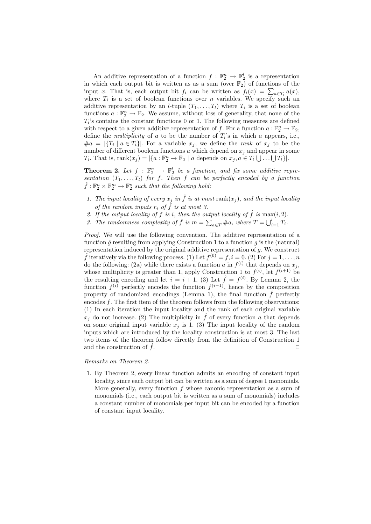An additive representation of a function  $f: \mathbb{F}_2^n \to \mathbb{F}_2^l$  is a representation in which each output bit is written as as a sum (over  $\mathbb{F}_2$ ) of functions of the in which each output bit is written as a sum (over  $\mathbb{F}_2$ ) of functions of the input x. That is, each output bit  $f_i$  can be written as  $f_i(x) = \sum_{a \in T_i} a(x)$ , where  $T_i$  is a set of boolean functions over n variables. We specify such an additive representation by an *l*-tuple  $(T_1, \ldots, T_l)$  where  $T_i$  is a set of boolean functions  $a: \mathbb{F}_2^n \to \mathbb{F}_2$ . We assume, without loss of generality, that none of the  $T_i$ 's contains the constant functions 0 or 1. The following measures are defined with respect to a given additive representation of f. For a function  $a: \mathbb{F}_2^n \to \mathbb{F}_2$ , define the *multiplicity* of a to be the number of  $T_i$ 's in which a appears, i.e.,  $\#a = |\{T_i \mid a \in T_i\}|.$  For a variable  $x_j$ , we define the *rank* of  $x_j$  to be the number of different boolean functions a which depend on  $x_j$  and appear in some number of different boolean functions a which depend on  $x_j$  and appear in set  $T_i$ . That is, rank $(x_j) = |\{a : \mathbb{F}_2^n \to \mathbb{F}_2 \mid a \text{ depends on } x_j, a \in T_1 \cup \dots \cup T_l\}|.$ 

**Theorem 2.** Let  $f : \mathbb{F}_2^n \to \mathbb{F}_2^l$  be a function, and fix some additive representation  $(T_1, \ldots, T_l)$  for f. Then f can be perfectly encoded by a function  $\hat{f}: \mathbb{F}_2^n \times \mathbb{F}_2^m \to \mathbb{F}_2^s$  such that the following hold:

- 1. The input locality of every  $x_j$  in  $\hat{f}$  is at most rank $(x_j)$ , and the input locality of the random inputs  $r_i$  of  $\hat{f}$  is at most 3.
- 2. If the output locality of f is i, then the output locality of  $\hat{f}$  is  $\max(i, 2)$ .
- 3. The randomness complexity of  $\hat{f}$  is  $m = \sum_{a \in T} \#a$ , where  $T = \bigcup_{i=1}^{l} T_i$ .

Proof. We will use the following convention. The additive representation of a function  $\hat{q}$  resulting from applying Construction 1 to a function q is the (natural) representation induced by the original additive representation of  $q$ . We construct  $\hat{f}$  iteratively via the following process. (1) Let  $f^{(0)} = f, i = 0$ . (2) For  $j = 1, \ldots, n$ do the following: (2a) while there exists a function a in  $f^{(i)}$  that depends on  $x_j$ , whose multiplicity is greater than 1, apply Construction 1 to  $f^{(i)}$ , let  $f^{(i+1)}$  be the resulting encoding and let  $i = i + 1$ . (3) Let  $\hat{f} = f^{(i)}$ . By Lemma 2, the function  $f^{(i)}$  perfectly encodes the function  $f^{(i-1)}$ , hence by the composition property of randomized encodings (Lemma 1), the final function  $\hat{f}$  perfectly encodes f. The first item of the theorem follows from the following observations: (1) In each iteration the input locality and the rank of each original variable  $x_i$  do not increase. (2) The multiplicity in  $\hat{f}$  of every function a that depends on some original input variable  $x_j$  is 1. (3) The input locality of the random inputs which are introduced by the locality construction is at most 3. The last two items of the theorem follow directly from the definition of Construction 1 and the construction of  $f$ .

### Remarks on Theorem 2.

1. By Theorem 2, every linear function admits an encoding of constant input locality, since each output bit can be written as a sum of degree 1 monomials. More generally, every function  $f$  whose canonic representation as a sum of monomials (i.e., each output bit is written as a sum of monomials) includes a constant number of monomials per input bit can be encoded by a function of constant input locality.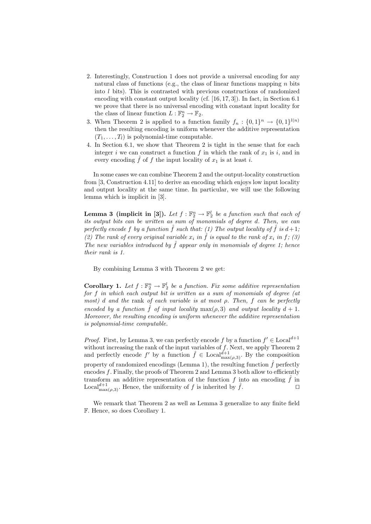- 2. Interestingly, Construction 1 does not provide a universal encoding for any natural class of functions (e.g., the class of linear functions mapping n bits into  $l$  bits). This is contrasted with previous constructions of randomized encoding with constant output locality (cf. [16, 17, 3]). In fact, in Section 6.1 we prove that there is no universal encoding with constant input locality for the class of linear function  $L : \mathbb{F}_2^n \to \mathbb{F}_2$ .
- 3. When Theorem 2 is applied to a function family  $f_n: \{0,1\}^n \to \{0,1\}^{l(n)}$ then the resulting encoding is uniform whenever the additive representation  $(T_1, \ldots, T_l)$  is polynomial-time computable.
- 4. In Section 6.1, we show that Theorem 2 is tight in the sense that for each integer i we can construct a function f in which the rank of  $x_1$  is i, and in every encoding  $\hat{f}$  of  $f$  the input locality of  $x_1$  is at least *i*.

In some cases we can combine Theorem 2 and the output-locality construction from [3, Construction 4.11] to derive an encoding which enjoys low input locality and output locality at the same time. In particular, we will use the following lemma which is implicit in [3].

**Lemma 3 (implicit in [3]).** Let  $f : \mathbb{F}_2^n \to \mathbb{F}_2^l$  be a function such that each of its output bits can be written as sum of monomials of degree d. Then, we can perfectly encode f by a function  $\hat{f}$  such that: (1) The output locality of  $\hat{f}$  is  $d+1$ ; (2) The rank of every original variable  $x_i$  in  $\hat{f}$  is equal to the rank of  $x_i$  in  $f$ ; (3) The new variables introduced by  $\hat{f}$  appear only in monomials of degree 1; hence their rank is 1.

By combining Lemma 3 with Theorem 2 we get:

**Corollary 1.** Let  $f : \mathbb{F}_2^n \to \mathbb{F}_2^l$  be a function. Fix some additive representation for f in which each output bit is written as a sum of monomials of degree (at most) d and the rank of each variable is at most  $\rho$ . Then, f can be perfectly encoded by a function  $\hat{f}$  of input locality max( $\rho$ , 3) and output locality  $d+1$ . Moreover, the resulting encoding is uniform whenever the additive representation is polynomial-time computable.

*Proof.* First, by Lemma 3, we can perfectly encode f by a function  $f' \in Local^{d+1}$ without increasing the rank of the input variables of  $f$ . Next, we apply Theorem  $2$ and perfectly encode f' by a function  $\hat{f} \in \text{Local}_{\text{max}(\rho,3)}^{\hat{d}+1}$ . By the composition property of randomized encodings (Lemma 1), the resulting function  $\hat{f}$  perfectly encodes f. Finally, the proofs of Theorem 2 and Lemma 3 both allow to efficiently transform an additive representation of the function f into an encoding  $\hat{f}$  in Local<sup>d+1</sup><sub>max( $\rho$ ,3)</sub>. Hence, the uniformity of f is inherited by  $\hat{f}$ .

We remark that Theorem 2 as well as Lemma 3 generalize to any finite field F. Hence, so does Corollary 1.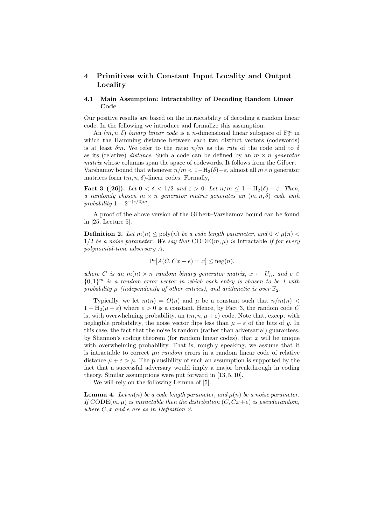## 4 Primitives with Constant Input Locality and Output Locality

## 4.1 Main Assumption: Intractability of Decoding Random Linear Code

Our positive results are based on the intractability of decoding a random linear code. In the following we introduce and formalize this assumption.

An  $(m, n, \delta)$  binary linear code is a n-dimensional linear subspace of  $\mathbb{F}_2^m$  in which the Hamming distance between each two distinct vectors (codewords) is at least  $\delta m$ . We refer to the ratio  $n/m$  as the rate of the code and to  $\delta$ as its (relative) distance. Such a code can be defined by an  $m \times n$  generator matrix whose columns span the space of codewords. It follows from the Gilbert– Varshamov bound that whenever  $n/m < 1-\text{H}_2(\delta)-\varepsilon$ , almost all  $m \times n$  generator matrices form  $(m, n, \delta)$ -linear codes. Formally,

Fact 3 ([26]). Let  $0 < \delta < 1/2$  and  $\varepsilon > 0$ . Let  $n/m \le 1 - H_2(\delta) - \varepsilon$ . Then, a randomly chosen  $m \times n$  generator matrix generates an  $(m, n, \delta)$  code with probability  $1-2^{-(\varepsilon/2)m}$ .

A proof of the above version of the Gilbert–Varshamov bound can be found in [25, Lecture 5].

**Definition 2.** Let  $m(n) \leq \text{poly}(n)$  be a code length parameter, and  $0 \leq \mu(n) \leq$  $1/2$  be a noise parameter. We say that  $\mathrm{CODE}(m, \mu)$  is intractable if for every polynomial-time adversary A,

$$
\Pr[A(C, Cx + e) = x] \le \text{neg}(n),
$$

where C is an  $m(n) \times n$  random binary generator matrix,  $x \leftarrow U_n$ , and  $e \in$  ${0,1}^m$  is a random error vector in which each entry is chosen to be 1 with probability  $\mu$  (independently of other entries), and arithmetic is over  $\mathbb{F}_2$ .

Typically, we let  $m(n) = O(n)$  and  $\mu$  be a constant such that  $n/m(n)$  $1 - H_2(\mu + \varepsilon)$  where  $\varepsilon > 0$  is a constant. Hence, by Fact 3, the random code C is, with overwhelming probability, an  $(m, n, \mu + \varepsilon)$  code. Note that, except with negligible probability, the noise vector flips less than  $\mu + \varepsilon$  of the bits of y. In this case, the fact that the noise is random (rather than adversarial) guarantees, by Shannon's coding theorem (for random linear codes), that  $x$  will be unique with overwhelming probability. That is, roughly speaking, we assume that it is intractable to correct  $\mu n$  random errors in a random linear code of relative distance  $\mu + \varepsilon > \mu$ . The plausibility of such an assumption is supported by the fact that a successful adversary would imply a major breakthrough in coding theory. Similar assumptions were put forward in [13, 5, 10].

We will rely on the following Lemma of [5].

**Lemma 4.** Let  $m(n)$  be a code length parameter, and  $\mu(n)$  be a noise parameter. If  $\mathrm{CODE}(m, \mu)$  is intractable then the distribution  $(C, Cx + e)$  is pseudorandom, where  $C, x$  and e are as in Definition 2.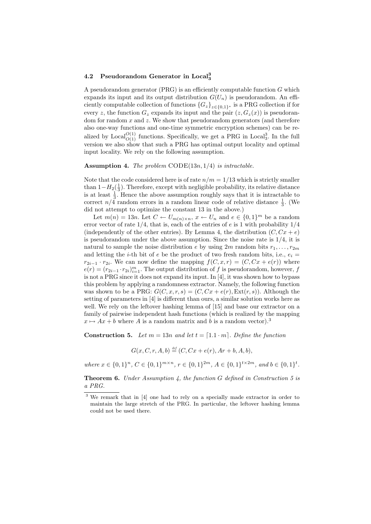# $4.2$  Pseudorandom Generator in Local<sup>3</sup>

A pseudorandom generator  $(PRG)$  is an efficiently computable function  $G$  which expands its input and its output distribution  $G(U_n)$  is pseudorandom. An efficiently computable collection of functions  ${G_z}_{z\in\{0,1\}^*}$  is a PRG collection if for every z, the function  $G_z$  expands its input and the pair  $(z, G_z(x))$  is pseudorandom for random  $x$  and  $z$ . We show that pseudorandom generators (and therefore also one-way functions and one-time symmetric encryption schemes) can be realized by Local<sub> $O(1)$ </sub> functions. Specifically, we get a PRG in Local<sup>3</sup><sub>3</sub>. In the full version we also show that such a PRG has optimal output locality and optimal input locality. We rely on the following assumption.

Assumption 4. The problem  $\mathrm{CODE}(13n, 1/4)$  is intractable.

Note that the code considered here is of rate  $n/m = 1/13$  which is strictly smaller than  $1-H_2(\frac{1}{3})$ . Therefore, except with negligible probability, its relative distance is at least  $\frac{1}{3}$ . Hence the above assumption roughly says that it is intractable to correct  $n/4$  random errors in a random linear code of relative distance  $\frac{1}{3}$ . (We did not attempt to optimize the constant 13 in the above.)

Let  $m(n) = 13n$ . Let  $C \leftarrow U_{m(n) \times n}$ ,  $x \leftarrow U_n$  and  $e \in \{0, 1\}^m$  be a random error vector of rate  $1/4$ , that is, each of the entries of e is 1 with probability  $1/4$ (independently of the other entries). By Lemma 4, the distribution  $(C, Cx + e)$ is pseudorandom under the above assumption. Since the noise rate is  $1/4$ , it is natural to sample the noise distribution e by using  $2m$  random bits  $r_1, \ldots, r_{2m}$ and letting the *i*-th bit of e be the product of two fresh random bits, i.e.,  $e_i =$  $r_{2i-1} \cdot r_{2i}$ . We can now define the mapping  $f(C, x, r) = (C, Cx + e(r))$  where  $e(r) = (r_{2i-1} \cdot r_{2i})_{i=1}^m$ . The output distribution of f is pseudorandom, however, f is not a PRG since it does not expand its input. In [4], it was shown how to bypass this problem by applying a randomness extractor. Namely, the following function was shown to be a PRG:  $G(C, x, r, s) = (C, Cx + e(r), \text{Ext}(r, s))$ . Although the setting of parameters in [4] is different than ours, a similar solution works here as well. We rely on the leftover hashing lemma of [15] and base our extractor on a family of pairwise independent hash functions (which is realized by the mapping  $x \mapsto Ax + b$  where A is a random matrix and b is a random vector).<sup>3</sup>

**Construction 5.** Let  $m = 13n$  and let  $t = [1.1 \cdot m]$ . Define the function

$$
G(x, C, r, A, b) \stackrel{\text{\tiny def}}{=} (C, Cx + e(r), Ar + b, A, b),
$$

where  $x \in \{0,1\}^n$ ,  $C \in \{0,1\}^{m \times n}$ ,  $r \in \{0,1\}^{2m}$ ,  $A \in \{0,1\}^{t \times 2m}$ , and  $b \in \{0,1\}^t$ .

**Theorem 6.** Under Assumption 4, the function G defined in Construction 5 is a PRG.

<sup>3</sup> We remark that in [4] one had to rely on a specially made extractor in order to maintain the large stretch of the PRG. In particular, the leftover hashing lemma could not be used there.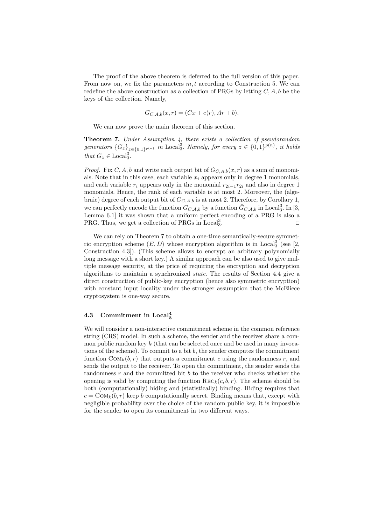The proof of the above theorem is deferred to the full version of this paper. From now on, we fix the parameters  $m, t$  according to Construction 5. We can redefine the above construction as a collection of PRGs by letting  $C, A, b$  be the keys of the collection. Namely,

$$
G_{C,A,b}(x,r) = (Cx + e(r), Ar + b).
$$

We can now prove the main theorem of this section.

**Theorem 7.** Under Assumption  $\lambda$ , there exists a collection of pseudorandom generators  ${G_z}_{z \in \{0,1\}^{p(n)}}$  in Local<sub>3</sub>. Namely, for every  $z \in \{0,1\}^{p(n)}$ , it holds that  $G_z \in Local_3^3$ .

*Proof.* Fix C, A, b and write each output bit of  $G_{C,A,b}(x,r)$  as a sum of monomials. Note that in this case, each variable  $x_i$  appears only in degree 1 monomials, and each variable  $r_i$  appears only in the monomial  $r_{2i-1}r_{2i}$  and also in degree 1 monomials. Hence, the rank of each variable is at most 2. Moreover, the (algebraic) degree of each output bit of  $G_{C,A,b}$  is at most 2. Therefore, by Corollary 1, we can perfectly encode the function  $G_{C,A,b}$  by a function  $\hat{G}_{C,A,b}$  in Local<sup>3</sup>. In [3, Lemma 6.1] it was shown that a uniform perfect encoding of a PRG is also a PRG. Thus, we get a collection of PRGs in Local<sup>3</sup> . The contract of  $\Box$ 

We can rely on Theorem 7 to obtain a one-time semantically-secure symmetric encryption scheme  $(E, D)$  whose encryption algorithm is in Local<sup>3</sup> (see [2, Construction 4.3]). (This scheme allows to encrypt an arbitrary polynomially long message with a short key.) A similar approach can be also used to give multiple message security, at the price of requiring the encryption and decryption algorithms to maintain a synchronized state. The results of Section 4.4 give a direct construction of public-key encryption (hence also symmetric encryption) with constant input locality under the stronger assumption that the McEliece cryptosystem is one-way secure.

# $4.3 \quad \rm {Commitment \ in \ Local}_3^4$

We will consider a non-interactive commitment scheme in the common reference string (CRS) model. In such a scheme, the sender and the receiver share a common public random key  $k$  (that can be selected once and be used in many invocations of the scheme). To commit to a bit  $b$ , the sender computes the commitment function  $\text{Con}_{k}(b, r)$  that outputs a commitment c using the randomness r, and sends the output to the receiver. To open the commitment, the sender sends the randomness  $r$  and the committed bit  $b$  to the receiver who checks whether the opening is valid by computing the function  $\text{Rec}_k(c, b, r)$ . The scheme should be both (computationally) hiding and (statistically) binding. Hiding requires that  $c = \text{Com}_k(b, r)$  keep b computationally secret. Binding means that, except with negligible probability over the choice of the random public key, it is impossible for the sender to open its commitment in two different ways.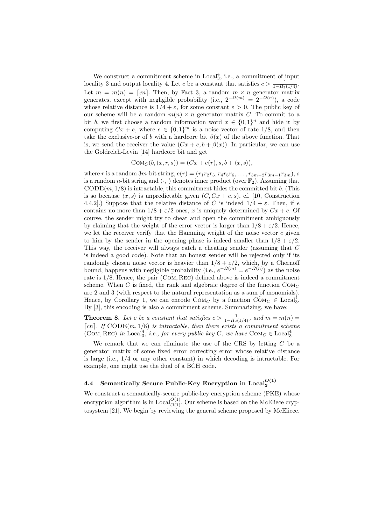We construct a commitment scheme in  $Local_3^4$ , i.e., a commitment of input locality 3 and output locality 4. Let c be a constant that satisfies  $c > \frac{1}{1-H_2(1/4)}$ . Let  $m = m(n) = \lfloor cn \rfloor$ . Then, by Fact 3, a random  $m \times n$  generator matrix generates, except with negligible probability (i.e.,  $2^{-\Omega(m)} = 2^{-\Omega(n)}$ ), a code whose relative distance is  $1/4 + \varepsilon$ , for some constant  $\varepsilon > 0$ . The public key of our scheme will be a random  $m(n) \times n$  generator matrix C. To commit to a bit b, we first choose a random information word  $x \in \{0,1\}^n$  and hide it by computing  $Cx + e$ , where  $e \in \{0,1\}^m$  is a noise vector of rate 1/8, and then take the exclusive-or of b with a hardcore bit  $\beta(x)$  of the above function. That is, we send the receiver the value  $(Cx + e, b + \beta(x))$ . In particular, we can use the Goldreich-Levin [14] hardcore bit and get

$$
COM_C(b, (x, r, s)) = (Cx + e(r), s, b + \langle x, s \rangle),
$$

where r is a random 3m-bit string,  $e(r) = (r_1r_2r_3, r_4r_5r_6, \ldots, r_{3m-2}r_{3m-1}r_{3m}),$  s is a random *n*-bit string and  $\langle \cdot, \cdot \rangle$  denotes inner product (over  $\mathbb{F}_2$ ). Assuming that  $CODE(m, 1/8)$  is intractable, this commitment hides the committed bit b. (This is so because  $\langle x, s \rangle$  is unpredictable given  $(C, Cx + e, s)$ , cf. [10, Construction 4.4.2.]) Suppose that the relative distance of C is indeed  $1/4 + \varepsilon$ . Then, if e contains no more than  $1/8 + \varepsilon/2$  ones, x is uniquely determined by  $Cx + e$ . Of course, the sender might try to cheat and open the commitment ambiguously by claiming that the weight of the error vector is larger than  $1/8 + \varepsilon/2$ . Hence, we let the receiver verify that the Hamming weight of the noise vector  $e$  given to him by the sender in the opening phase is indeed smaller than  $1/8 + \varepsilon/2$ . This way, the receiver will always catch a cheating sender (assuming that C is indeed a good code). Note that an honest sender will be rejected only if its randomly chosen noise vector is heavier than  $1/8 + \varepsilon/2$ , which, by a Chernoff bound, happens with negligible probability (i.e.,  $e^{-\Omega(m)} = e^{-\Omega(n)}$ ) as the noise rate is 1/8. Hence, the pair (Com, Rec) defined above is indeed a commitment scheme. When C is fixed, the rank and algebraic degree of the function  $COM_C$ are 2 and 3 (with respect to the natural representation as a sum of monomials). Hence, by Corollary 1, we can encode COM<sub>C</sub> by a function  $\hat{COM}_C \in Local_3^4$ . By [3], this encoding is also a commitment scheme. Summarizing, we have:

**Theorem 8.** Let c be a constant that satisfies  $c > \frac{1}{1-H_2(1/4)}$ , and  $m = m(n) =$ [cn]. If  $\text{CODE}(m, 1/8)$  is intractable, then there exists a commitment scheme (COM, REC) in Local<sup>4</sup><sub>3</sub>; i.e., for every public key C, we have  $COM_C \in Local_3^4$ .

We remark that we can eliminate the use of the CRS by letting  $C$  be a generator matrix of some fixed error correcting error whose relative distance is large (i.e., 1/4 or any other constant) in which decoding is intractable. For example, one might use the dual of a BCH code.

# 4.4 Semantically Secure Public-Key Encryption in  $\operatorname{Local}_3^{O(1)}$

We construct a semantically-secure public-key encryption scheme (PKE) whose encryption algorithm is in  $Local_{O(1)}^{O(1)}$ . Our scheme is based on the McEliece cryptosystem [21]. We begin by reviewing the general scheme proposed by McEliece.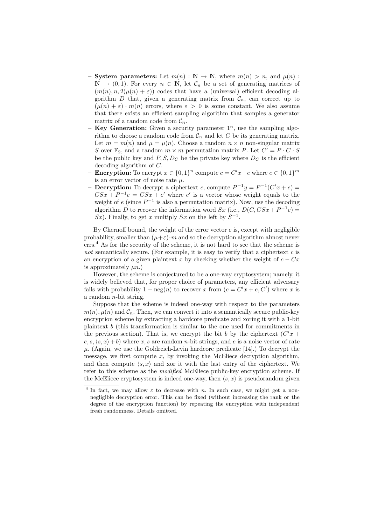- **System parameters:** Let  $m(n) : \mathbb{N} \to \mathbb{N}$ , where  $m(n) > n$ , and  $\mu(n)$ :  $\mathbb{N} \to (0, 1)$ . For every  $n \in \mathbb{N}$ , let  $\mathcal{C}_n$  be a set of generating matrices of  $(m(n), n, 2(\mu(n) + \varepsilon))$  codes that have a (universal) efficient decoding algorithm D that, given a generating matrix from  $\mathcal{C}_n$ , can correct up to  $(\mu(n) + \varepsilon) \cdot m(n)$  errors, where  $\varepsilon > 0$  is some constant. We also assume that there exists an efficient sampling algorithm that samples a generator matrix of a random code from  $C_n$ .
- **Key Generation:** Given a security parameter  $1^n$ , use the sampling algorithm to choose a random code from  $\mathcal{C}_n$  and let C be its generating matrix. Let  $m = m(n)$  and  $\mu = \mu(n)$ . Choose a random  $n \times n$  non-singular matrix S over  $\mathbb{F}_2$ , and a random  $m \times m$  permutation matrix P. Let  $C' = P \cdot C \cdot S$ be the public key and  $P, S, D_C$  be the private key where  $D_C$  is the efficient decoding algorithm of C.
- **Encryption:** To encrypt  $x \in \{0,1\}^n$  compute  $c = C'x + e$  where  $e \in \{0,1\}^m$ is an error vector of noise rate  $\mu$ .
- **Decryption:** To decrypt a ciphertext c, compute  $P^{-1}y = P^{-1}(C'x + e)$  $CSx + P^{-1}e = CSx + e'$  where  $e'$  is a vector whose weight equals to the weight of e (since  $P^{-1}$  is also a permutation matrix). Now, use the decoding algorithm D to recover the information word  $S_x$  (i.e.,  $D(C, C S x + P^{-1} e) =$ Sx). Finally, to get x multiply Sx on the left by  $S^{-1}$ .

By Chernoff bound, the weight of the error vector  $e$  is, except with negligible probability, smaller than  $(\mu + \varepsilon) \cdot m$  and so the decryption algorithm almost never errs.<sup>4</sup> As for the security of the scheme, it is not hard to see that the scheme is not semantically secure. (For example, it is easy to verify that a ciphertext  $c$  is an encryption of a given plaintext x by checking whether the weight of  $c - Cx$ is approximately  $\mu n$ .)

However, the scheme is conjectured to be a one-way cryptosystem; namely, it is widely believed that, for proper choice of parameters, any efficient adversary fails with probability  $1 - \text{neg}(n)$  to recover x from  $(c = C'x + e, C')$  where x is a random  $n$ -bit string.

Suppose that the scheme is indeed one-way with respect to the parameters  $m(n)$ ,  $\mu(n)$  and  $\mathcal{C}_n$ . Then, we can convert it into a semantically secure public-key encryption scheme by extracting a hardcore predicate and xoring it with a 1-bit plaintext b (this transformation is similar to the one used for commitments in the previous section). That is, we encrypt the bit b by the ciphertext  $(C'x +$  $e, s, \langle s, x \rangle + b$ ) where x, s are random n-bit strings, and e is a noise vector of rate  $\mu$ . (Again, we use the Goldreich-Levin hardcore predicate [14].) To decrypt the message, we first compute  $x$ , by invoking the McEliece decryption algorithm, and then compute  $\langle s, x \rangle$  and xor it with the last entry of the ciphertext. We refer to this scheme as the *modified* McEliece public-key encryption scheme. If the McEliece cryptosystem is indeed one-way, then  $\langle s, x \rangle$  is pseudorandom given

<sup>&</sup>lt;sup>4</sup> In fact, we may allow  $\varepsilon$  to decrease with *n*. In such case, we might get a nonnegligible decryption error. This can be fixed (without increasing the rank or the degree of the encryption function) by repeating the encryption with independent fresh randomness. Details omitted.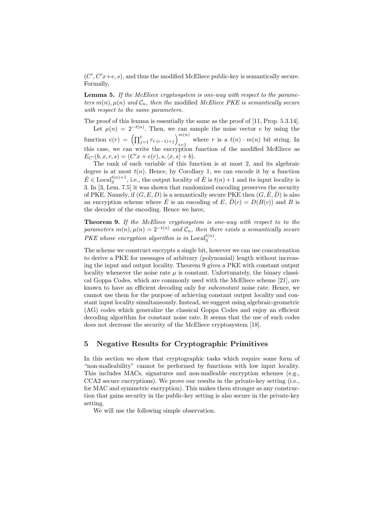$(C', C'x+e, s)$ , and thus the modified McEliece public-key is semantically secure. Formally,

Lemma 5. If the McEliece cryptosystem is one-way with respect to the parameters  $m(n)$ ,  $\mu(n)$  and  $\mathcal{C}_n$ , then the modified McEliece PKE is semantically secure with respect to the same parameters.

The proof of this lemma is essentially the same as the proof of [11, Prop. 5.3.14].

Let  $\mu(n) = 2^{-t(n)}$ . Then, we can sample the noise vector e by using the function  $e(r) = \left( \prod_{j=1}^{t} r_{t \cdot (i-1)+j} \right)$  $\binom{1}{m(n)}$ where r is a  $t(n) \cdot m(n)$  bit string. In this case, we can write the encryption function of the modified McEliece as  $E_{C'}(b,x,r,s) = (C'x + e(r), s, \langle x,s \rangle + b).$ 

The rank of each variable of this function is at most 2, and its algebraic degree is at most  $t(n)$ . Hence, by Corollary 1, we can encode it by a function  $\hat{E} \in \text{Local}_3^{t(n)+1}$ , i.e., the output locality of  $\hat{E}$  is  $t(n) + 1$  and its input locality is 3. In [3, Lem. 7.5] it was shown that randomized encoding preserves the security of PKE. Namely, if  $(G, E, D)$  is a semantically secure PKE then  $(G, \hat{E}, \hat{D})$  is also an encryption scheme where  $\hat{E}$  is an encoding of  $E, \hat{D}(c) = D(B(c))$  and B is the decoder of the encoding. Hence we have,

Theorem 9. If the McEliece cryptosystem is one-way with respect to to the parameters  $m(n)$ ,  $\mu(n) = 2^{-t(n)}$  and  $\mathcal{C}_n$ , then there exists a semantically secure PKE whose encryption algorithm is in  $\text{Local}_3^{t(n)}$ .

The scheme we construct encrypts a single bit, however we can use concatenation to derive a PKE for messages of arbitrary (polynomial) length without increasing the input and output locality. Theorem 9 gives a PKE with constant output locality whenever the noise rate  $\mu$  is constant. Unfortunately, the binary classical Goppa Codes, which are commonly used with the McEliece scheme [21], are known to have an efficient decoding only for subconstant noise rate. Hence, we cannot use them for the purpose of achieving constant output locality and constant input locality simultaneously. Instead, we suggest using algebraic-geometric (AG) codes which generalize the classical Goppa Codes and enjoy an efficient decoding algorithm for constant noise rate. It seems that the use of such codes does not decrease the security of the McEliece cryptosystem [18].

## 5 Negative Results for Cryptographic Primitives

In this section we show that cryptographic tasks which require some form of "non-malleability" cannot be performed by functions with low input locality. This includes MACs, signatures and non-malleable encryption schemes (e.g., CCA2 secure encryptions). We prove our results in the private-key setting (i.e., for MAC and symmetric encryption). This makes them stronger as any construction that gains security in the public-key setting is also secure in the private-key setting.

We will use the following simple observation.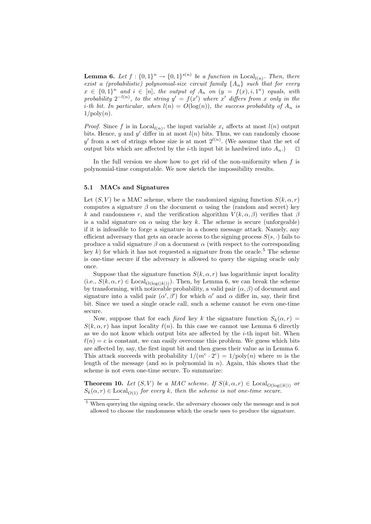**Lemma 6.** Let  $f: \{0,1\}^n \to \{0,1\}^{s(n)}$  be a function in  $\text{Local}_{l(n)}$ . Then, there exist a (probabilistic) polynomial-size circuit family  $\{A_n\}$  such that for every  $x \in \{0,1\}^n$  and  $i \in [n]$ , the output of  $A_n$  on  $(y = f(x), i, 1^n)$  equals, with probability  $2^{-l(n)}$ , to the string  $y' = f(x')$  where x' differs from x only in the *i*-th bit. In particular, when  $l(n) = O(\log(n))$ , the success probability of  $A_n$  is  $1/\text{poly}(n)$ .

*Proof.* Since f is in  $\text{Local}_{l(n)}$ , the input variable  $x_i$  affects at most  $l(n)$  output bits. Hence, y and y' differ in at most  $l(n)$  bits. Thus, we can randomly choose y' from a set of strings whose size is at most  $2^{l(n)}$ . (We assume that the set of output bits which are affected by the *i*-th input bit is hardwired into  $A_n$ .

In the full version we show how to get rid of the non-uniformity when  $f$  is polynomial-time computable. We now sketch the impossibility results.

### 5.1 MACs and Signatures

Let  $(S, V)$  be a MAC scheme, where the randomized signing function  $S(k, \alpha, r)$ computes a signature  $\beta$  on the document  $\alpha$  using the (random and secret) key k and randomness r, and the verification algorithm  $V(k, \alpha, \beta)$  verifies that  $\beta$ is a valid signature on  $\alpha$  using the key k. The scheme is secure (unforgeable) if it is infeasible to forge a signature in a chosen message attack. Namely, any efficient adversary that gets an oracle access to the signing process  $S(s, \cdot)$  fails to produce a valid signature  $\beta$  on a document  $\alpha$  (with respect to the corresponding key k) for which it has not requested a signature from the oracle.<sup>5</sup> The scheme is one-time secure if the adversary is allowed to query the signing oracle only once.

Suppose that the signature function  $S(k, \alpha, r)$  has logarithmic input locality (i.e.,  $S(k, \alpha, r) \in \text{Local}_{O(\log(|k|))})$ ). Then, by Lemma 6, we can break the scheme by transforming, with noticeable probability, a valid pair  $(\alpha, \beta)$  of document and signature into a valid pair  $(\alpha', \beta')$  for which  $\alpha'$  and  $\alpha$  differ in, say, their first bit. Since we used a single oracle call, such a scheme cannot be even one-time secure.

Now, suppose that for each fixed key k the signature function  $S_k(\alpha, r)$  $S(k, \alpha, r)$  has input locality  $\ell(n)$ . In this case we cannot use Lemma 6 directly as we do not know which output bits are affected by the  $i$ -th input bit. When  $\ell(n) = c$  is constant, we can easily overcome this problem. We guess which bits are affected by, say, the first input bit and then guess their value as in Lemma 6. This attack succeeds with probability  $1/(m^c \cdot 2^c) = 1/\text{poly}(n)$  where m is the length of the message (and so is polynomial in  $n$ ). Again, this shows that the scheme is not even one-time secure. To summarize:

**Theorem 10.** Let  $(S, V)$  be a MAC scheme. If  $S(k, \alpha, r) \in Local_{O(log(|k|))}$  or  $S_k(\alpha, r) \in \text{Local}_{O(1)}$  for every k, then the scheme is not one-time secure.

<sup>5</sup> When querying the signing oracle, the adversary chooses only the message and is not allowed to choose the randomness which the oracle uses to produce the signature.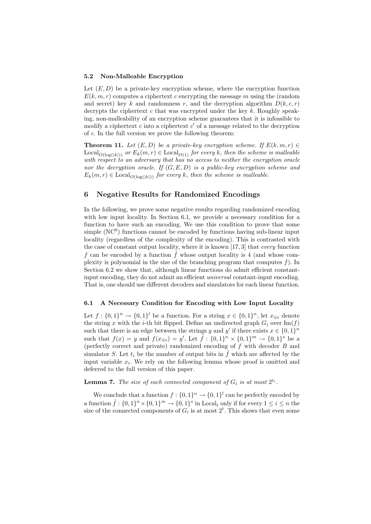#### 5.2 Non-Malleable Encryption

Let  $(E, D)$  be a private-key encryption scheme, where the encryption function  $E(k, m, r)$  computes a ciphertext c encrypting the message m using the (random and secret) key k and randomness r, and the decryption algorithm  $D(k, c, r)$ decrypts the ciphertext  $c$  that was encrypted under the key  $k$ . Roughly speaking, non-malleability of an encryption scheme guarantees that it is infeasible to modify a ciphertext  $c$  into a ciphertext  $c'$  of a message related to the decryption of c. In the full version we prove the following theorem:

**Theorem 11.** Let  $(E, D)$  be a private-key encryption scheme. If  $E(k, m, r) \in$  $\text{Local}_{O(\log(|k|))}$  or  $E_k(m,r) \in \text{Local}_{O(1)}$  for every k, then the scheme is malleable with respect to an adversary that has no access to neither the encryption oracle nor the decryption oracle. If  $(G, E, D)$  is a public-key encryption scheme and  $E_k(m,r) \in Local_{O(\log(|k|))}$  for every k, then the scheme is malleable.

## 6 Negative Results for Randomized Encodings

In the following, we prove some negative results regarding randomized encoding with low input locality. In Section 6.1, we provide a necessary condition for a function to have such an encoding. We use this condition to prove that some simple  $(NC^0)$  functions cannot be encoded by functions having sub-linear input locality (regardless of the complexity of the encoding). This is contrasted with the case of constant output locality, where it is known [17, 3] that every function f can be encoded by a function  $\hat{f}$  whose output locality is 4 (and whose complexity is polynomial in the size of the branching program that computes  $f$ ). In Section 6.2 we show that, although linear functions do admit efficient constantinput encoding, they do not admit an efficient *universal* constant-input encoding. That is, one should use different decoders and simulators for each linear function.

#### 6.1 A Necessary Condition for Encoding with Low Input Locality

Let  $f: \{0,1\}^n \to \{0,1\}^l$  be a function. For a string  $x \in \{0,1\}^n$ , let  $x_{\oplus i}$  denote the string x with the i-th bit flipped. Define an undirected graph  $G_i$  over  $\text{Im}(f)$ such that there is an edge between the strings y and y' if there exists  $x \in \{0,1\}^n$ such that  $f(x) = y$  and  $f(x_{\oplus i}) = y'$ . Let  $\hat{f} : \{0,1\}^n \times \{0,1\}^m \to \{0,1\}^s$  be a (perfectly correct and private) randomized encoding of f with decoder B and simulator S. Let  $t_i$  be the number of output bits in  $\hat{f}$  which are affected by the input variable  $x_i$ . We rely on the following lemma whose proof is omitted and deferred to the full version of this paper.

**Lemma 7.** The size of each connected component of  $G_i$  is at most  $2^{t_i}$ .

We conclude that a function  $f: \{0,1\}^n \to \{0,1\}^l$  can be perfectly encoded by a function  $\hat{f} : \{0,1\}^n \times \{0,1\}^m \to \{0,1\}^s$  in Local<sub>t</sub> only if for every  $1 \leq i \leq n$  the size of the connected components of  $G_i$  is at most  $2^t$ . This shows that even some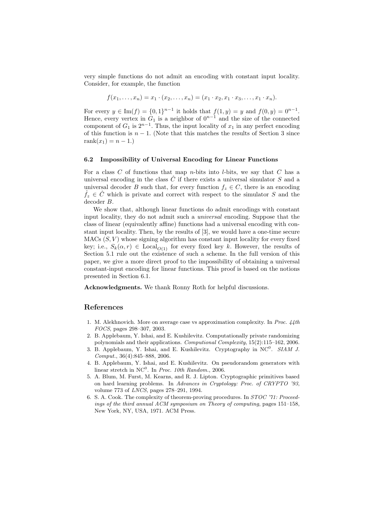very simple functions do not admit an encoding with constant input locality. Consider, for example, the function

$$
f(x_1,...,x_n) = x_1 \cdot (x_2,...,x_n) = (x_1 \cdot x_2, x_1 \cdot x_3,...,x_1 \cdot x_n).
$$

For every  $y \in \text{Im}(f) = \{0,1\}^{n-1}$  it holds that  $f(1, y) = y$  and  $f(0, y) = 0^{n-1}$ . Hence, every vertex in  $G_1$  is a neighbor of  $0^{n-1}$  and the size of the connected component of  $G_1$  is  $2^{n-1}$ . Thus, the input locality of  $x_1$  in any perfect encoding of this function is  $n - 1$ . (Note that this matches the results of Section 3 since  $rank(x_1) = n - 1.$ 

### 6.2 Impossibility of Universal Encoding for Linear Functions

For a class C of functions that map *n*-bits into *l*-bits, we say that C has a universal encoding in the class  $\hat{C}$  if there exists a universal simulator S and a universal decoder B such that, for every function  $f_z \in C$ , there is an encoding  $\hat{f}_z \in \hat{C}$  which is private and correct with respect to the simulator S and the decoder B.

We show that, although linear functions do admit encodings with constant input locality, they do not admit such a universal encoding. Suppose that the class of linear (equivalently affine) functions had a universal encoding with constant input locality. Then, by the results of [3], we would have a one-time secure  $MACS (S, V)$  whose signing algorithm has constant input locality for every fixed key; i.e.,  $S_k(\alpha, r) \in \text{Local}_{O(1)}$  for every fixed key k. However, the results of Section 5.1 rule out the existence of such a scheme. In the full version of this paper, we give a more direct proof to the impossibility of obtaining a universal constant-input encoding for linear functions. This proof is based on the notions presented in Section 6.1.

Acknowledgments. We thank Ronny Roth for helpful discussions.

### References

- 1. M. Alekhnovich. More on average case vs approximation complexity. In Proc. 44th FOCS, pages 298–307, 2003.
- 2. B. Applebaum, Y. Ishai, and E. Kushilevitz. Computationally private randomizing polynomials and their applications. Computional Complexity, 15(2):115–162, 2006.
- 3. B. Applebaum, Y. Ishai, and E. Kushilevitz. Cryptography in  $NC^0$ . SIAM J. Comput., 36(4):845–888, 2006.
- 4. B. Applebaum, Y. Ishai, and E. Kushilevitz. On pseudorandom generators with linear stretch in NC<sup>0</sup>. In *Proc. 10th Random.*, 2006.
- 5. A. Blum, M. Furst, M. Kearns, and R. J. Lipton. Cryptographic primitives based on hard learning problems. In Advances in Cryptology: Proc. of CRYPTO '93, volume 773 of LNCS, pages 278–291, 1994.
- 6. S. A. Cook. The complexity of theorem-proving procedures. In STOC '71: Proceedings of the third annual ACM symposium on Theory of computing, pages 151–158, New York, NY, USA, 1971. ACM Press.